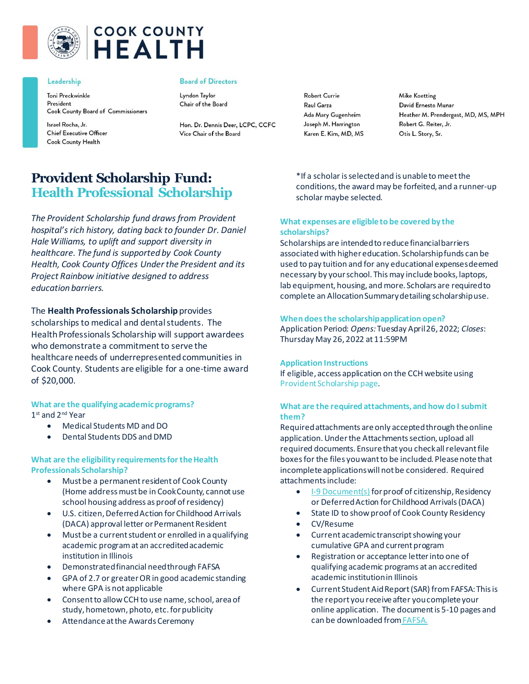

# **COOK COUNTY HEALTH**

#### Leadership

Toni Preckwinkle President Cook County Board of Commissioners

Israel Rocha, Jr. **Chief Executive Officer** Cook County Health

#### **Board of Directors**

Lyndon Taylor Chair of the Board

Hon. Dr. Dennis Deer, LCPC, CCFC Vice Chair of the Board

**Robert Currie** Raul Garza Ada Mary Gugenheim Joseph M. Harrington Karen E. Kim, MD, MS **Mike Koetting** David Ernesto Munar Heather M. Prendergast, MD, MS, MPH Robert G. Reiter, Jr. Otis L. Story, Sr.

# **Provident Scholarship Fund: Health Professional Scholarship**

*The Provident Scholarship fund draws from Provident hospital's rich history, dating back to founder Dr. Daniel Hale Williams, to uplift and support diversity in healthcare. The fund is supported by Cook County Health, Cook County Offices Under the President and its Project Rainbow initiative designed to address education barriers.* 

# The **Health Professionals Scholarship** provides

scholarships to medical and dental students. The Health Professionals Scholarship will support awardees who demonstrate a commitment to serve the healthcare needs of underrepresented communities in Cook County. Students are eligible for a one-time award of \$20,000.

**What are the qualifying academic programs?**  1 st and 2nd Year

- Medical Students MD and DO
- Dental Students DDS and DMD

## **What are the eligibility requirements for the Health Professionals Scholarship?**

- Must be a permanent resident of Cook County (Home address must be in Cook County, cannot use school housing address as proof of residency)
- U.S. citizen, Deferred Action for Childhood Arrivals (DACA) approval letter or Permanent Resident
- Must be a current student or enrolled in a qualifying academic program at an accredited academic institution in Illinois
- Demonstrated financial need through FAFSA
- GPA of 2.7 or greater OR in good academic standing where GPA is not applicable
- Consent to allow CCH to use name, school, area of study, hometown, photo, etc. for publicity
- Attendance at the Awards Ceremony

\*If a scholar is selected and is unable to meet the conditions, the award may be forfeited, and a runner-up scholar maybe selected.

# **What expenses are eligible to be covered by the scholarships?**

Scholarships are intended to reduce financial barriers associated with higher education. Scholarship funds can be used to pay tuition and for any educational expenses deemed necessary by your school. This may include books, laptops, lab equipment, housing, and more. Scholars are required to complete an Allocation Summary detailing scholarship use.

#### **When does the scholarship application open?**

Application Period: *Opens:* Tuesday April 26, 2022; *Closes*: Thursday May 26, 2022 at 11:59PM

#### **Application Instructions**

If eligible, access application on the CCH website using [Provident Scholarship page](https://cookcountyhealth.org/about/careers/provident-scholarship-fund/).

# **What are the required attachments, and how do I submit them?**

Required attachments are only accepted through the online application. Under the Attachments section, upload all required documents. Ensure that you check all relevant file boxes for the files you want to be included. Please note that incomplete applications will not be considered. Required attachments include:

- [I-9 Document\(s\)](https://www.uscis.gov/i-9-central/form-i-9-acceptable-documents) for proof of citizenship, Residency or Deferred Action for Childhood Arrivals (DACA)
- State ID to show proof of Cook County Residency
- CV/Resume
- Current academic transcript showing your cumulative GPA and current program
- Registration or acceptance letter into one of qualifying academic programs at an accredited academic institution in Illinois
- Current Student Aid Report (SAR) from FAFSA: This is the report you receive after you complete your online application. The document is 5-10 pages and can be downloaded fro[mFAFSA](https://studentaid.gov/).